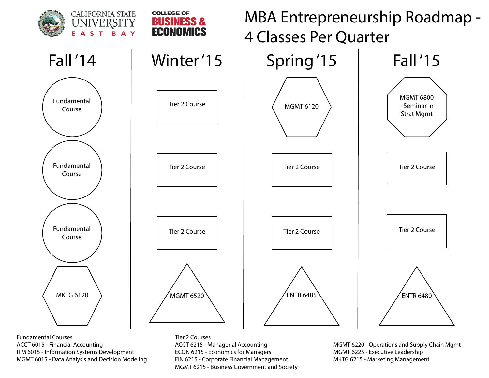

Fundamental Courses ACCT 6015 - Financial Accounting ITM 6015 - Information Systems Development MGMT 6015 - Data Analysis and Decision Modeling

Tier 2 Courses ACCT 6215 - Managerial Accounting ECON 6215 - Economics for Managers FIN 6215 - Corporate Financial Management MGMT 6215 - Business Government and Society

MGMT 6220 - Operations and Supply Chain Mgmt MGMT 6225 - Executive Leadership MKTG 6215 - Marketing Management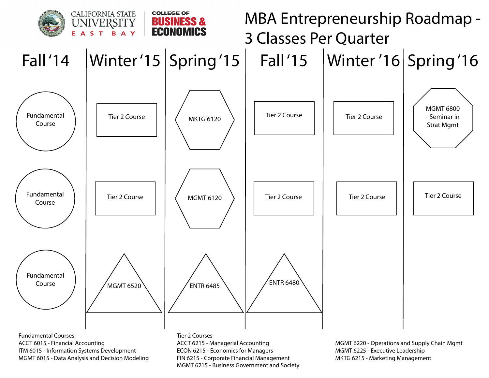

FIN 6215 - Corporate Financial Management MGMT 6215 - Business Government and Society MKTG 6215 - Marketing Management